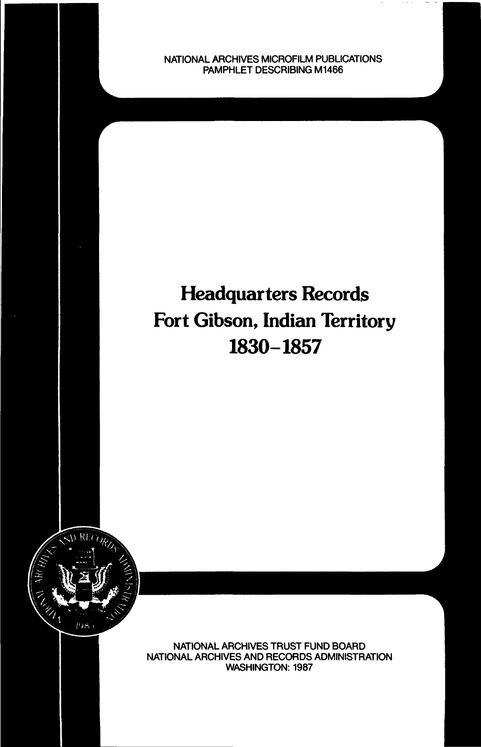NATIONAL ARCHIVES MICROFILM PUBLICATIONS PAMPHLET DESCRIBING M1466

# Headquarters Records Fort Gibson, Indian Territory 1830-1857



NATIONAL ARCHIVES TRUST FUND BOARD NATIONAL ARCHIVES AND RECORDS ADMINISTRATION WASHINGTON: 1987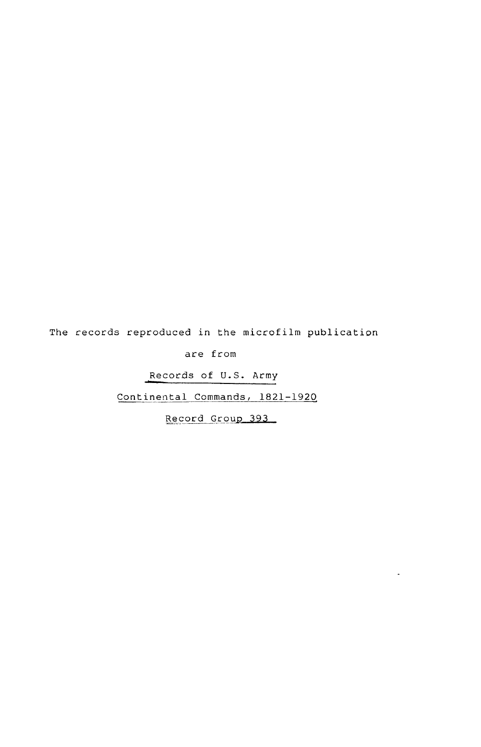The records reproduced in the microfilm publication

are from

Records of U.S. Army

Continental Commands, 1821-1920

Record Group 393

 $\sim$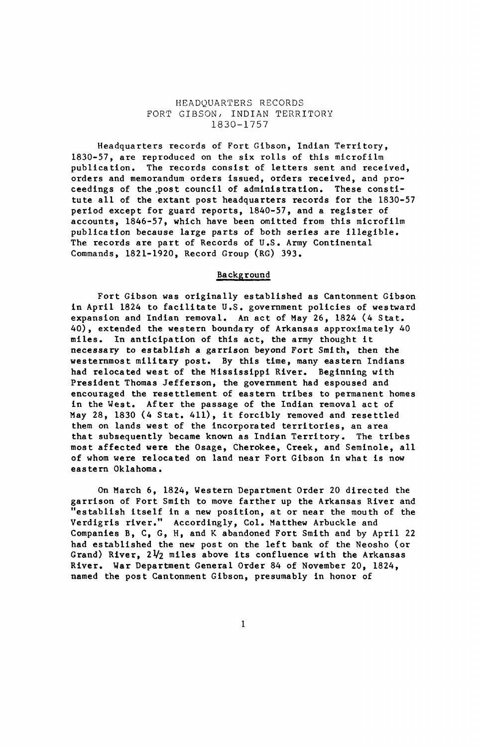#### HEADQUARTERS RECORDS FORT GIBSON/ INDIAN TERRITORY 1830-1757

Headquarters records of Fort Gibson, Indian Territory, 1830-57, are reproduced on the six rolls of this microfilm publication. The records consist of letters sent and received, orders and memorandum orders issued, orders received, and proceedings of the .post council of administration. These constitute all of the extant post headquarters records for the 1830-57 period except for guard reports, 1840-57, and a register of accounts, 1846-57, which have been omitted from this microfilm publication because large parts of both series are illegible. The records are part of Records of U.S. Army Continental Commands, 1821-1920, Record Group (RG) 393.

#### Background

Fort Gibson was originally established as Cantonment Gibson in April 1824 to facilitate U.S. government policies of westward expansion and Indian removal. An act of May 26, 1824 (4 Stat. 40), extended the western boundary of Arkansas approximately 40 miles. In anticipation of this act, the army thought it necessary to establish a garrison beyond Fort Smith, then the westernmost military post. By this time, many eastern Indians had relocated west of the Mississippi River. Beginning with President Thomas Jefferson, the government had espoused and encouraged the resettlement of eastern tribes to permanent homes in the West. After the passage of the Indian removal act of May 28, 1830 (4 Stat. 411), it forcibly removed and resettled them on lands west of the incorporated territories, an area that subsequently became known as Indian Territory. The tribes most affected were the Osage, Cherokee, Creek, and Seminole, all of whom were relocated on land near Fort Gibson in what is now eastern Oklahoma.

On March 6, 1824, Western Department Order 20 directed the garrison of Fort Smith to move farther up the Arkansas River and "establish itself in a new position, at or near the mouth of the Verdigris river." Accordingly, Col. Matthew Arbuckle and Companies B, C, G, H, and K abandoned Fort Smith and by April 22 had established the new post on the left bank of the Neosho (or Grand) River,  $2\frac{1}{2}$  miles above its confluence with the Arkansas River. War Department General Order 84 of November 20, 1824, named the post Cantonment Gibson, presumably in honor of

 $\mathbf{1}$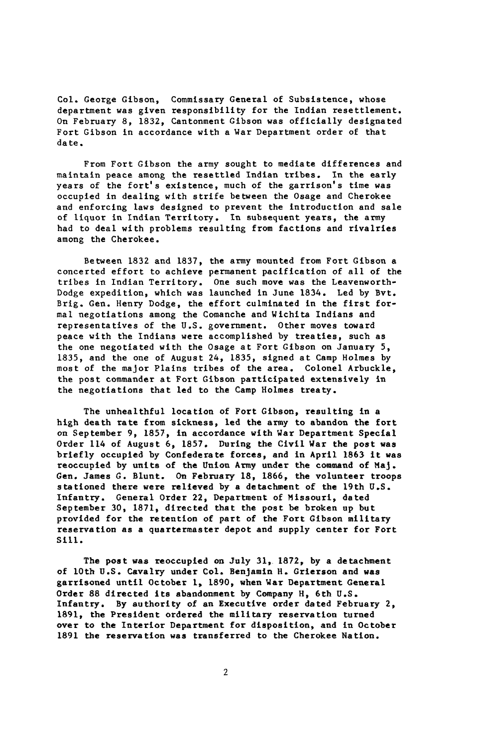Col. George Gibson, Commissary General of Subsistence, whose department was given responsibility for the Indian resettlement. On February 8, 1832, Cantonment Gibson was officially designated Fort Gibson in accordance with a War Department order of that date.

From Fort Gibson the army sought to mediate differences and maintain peace among the resettled Indian tribes. In the early years of the fort's existence, much of the garrison's time was occupied in dealing with strife between the Osage and Cherokee and enforcing laws designed to prevent the introduction and sale of liquor in Indian Territory. In subsequent years, the army had to deal with problems resulting from factions and rivalries among the Cherokee.

Between 1832 and 1837, the army mounted from Fort Gibson a concerted effort to achieve permanent pacification of all of the tribes in Indian Territory. One such move was the Leavenworth-Dodge expedition, which was launched in June 1834. Led by Bvt. Brig. Gen. Henry Dodge, the effort culminated in the first formal negotiations among the Comanche and Wichita Indians and representatives of the U.S. government. Other moves toward peace with the Indians were accomplished by treaties, such as the one negotiated with the Osage at Fort Gibson on January 5, 1835, and the one of August 24, 1835, signed at Camp Holmes by most of the major Plains tribes of the area. Colonel Arbuckle, the post commander at Fort Gibson participated extensively in the negotiations that led to the Camp Holmes treaty.

The unhealthful location of Fort Gibson, resulting in a high death rate from sickness, led the army to abandon the fort on September 9, 1857, in accordance with War Department Special Order 114 of August 6, 1857. During the Civil War the post was briefly occupied by Confederate forces, and in April 1863 it was reoccupied by units of the Union Army under the command of Maj. Gen. James G. Blunt. On February 18, 1866, the volunteer troops stationed there were relieved by a detachment of the 19th U.S. Infantry. General Order 22, Department of Missouri, dated September 30, 1871, directed that the post be broken up but provided for the retention of part of the Fort Gibson military reservation as a quartermaster depot and supply center for Fort Sill.

The post was reoccupied on July 31, 1872, by a detachment of 10th U.S. Cavalry under Col. Benjamin H. Grierson and was garrisoned until October 1, 1890, when War Department General Order 88 directed its abandonment by Company H, 6th U.S. Infantry. By authority of an Executive order dated February 2, 1891, the President ordered the military reservation turned over to the Interior Department for disposition, and in October 1891 the reservation was transferred to the Cherokee Nation.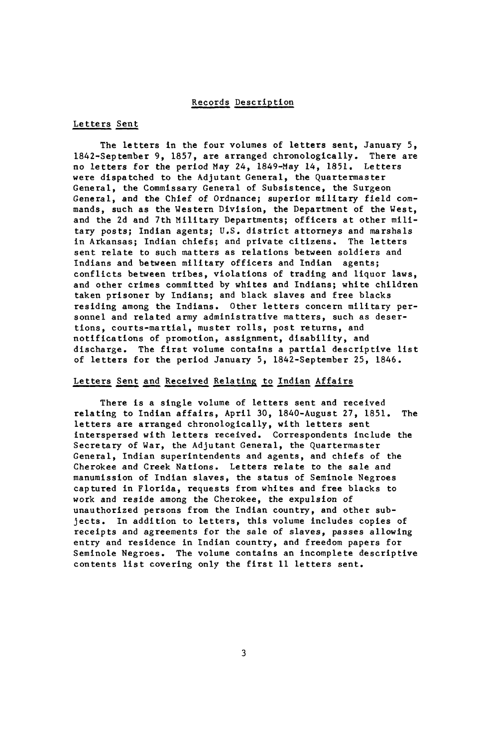#### Records Description

#### Letters Sent

The letters in the four volumes of letters sent, January 5, 1842-September 9, 1857, are arranged chronologically. There are no letters for the period May 24, 1849-May 14, 1851. Letters were dispatched to the Adjutant General, the Quartermaster General, the Commissary General of Subsistence, the Surgeon General, and the Chief of Ordnance; superior military field commands, such as the Western Division, the Department of the West, and the 2d and 7th Military Departments; officers at other military posts; Indian agents; U.S. district attorneys and marshals in Arkansas; Indian chiefs; and private citizens. The letters sent relate to such matters as relations between soldiers and Indians and between military officers and Indian agents; conflicts between tribes, violations of trading and liquor laws, and other crimes committed by whites and Indians; white children taken prisoner by Indians; and black slaves and free blacks residing among the Indians. Other letters concern military personnel and related army administrative matters, such as desertions, courts-martial, muster rolls, post returns, and notifications of promotion, assignment, disability, and discharge. The first volume contains a partial descriptive list of letters for the period January 5, 1842-September 25, 1846.

#### Letters Sent and Received Relating to Indian Affairs

There is a single volume of letters sent and received relating to Indian affairs, April 30, 1840-August 27, 1851. The letters are arranged chronologically, with letters sent interspersed with letters received. Correspondents include the Secretary of War, the Adjutant General, the Quartermaster General, Indian superintendents and agents, and chiefs of the Cherokee and Creek Nations. Letters relate to the sale and manumission of Indian slaves, the status of Seminole Negroes captured in Florida, requests from whites and free blacks to work and reside among the Cherokee, the expulsion of unauthorized persons from the Indian country, and other subjects. In addition to letters, this volume includes copies of receipts and agreements for the sale of slaves, passes allowing entry and residence in Indian country, and freedom papers for Seminole Negroes. The volume contains an incomplete descriptive contents list covering only the first 11 letters sent.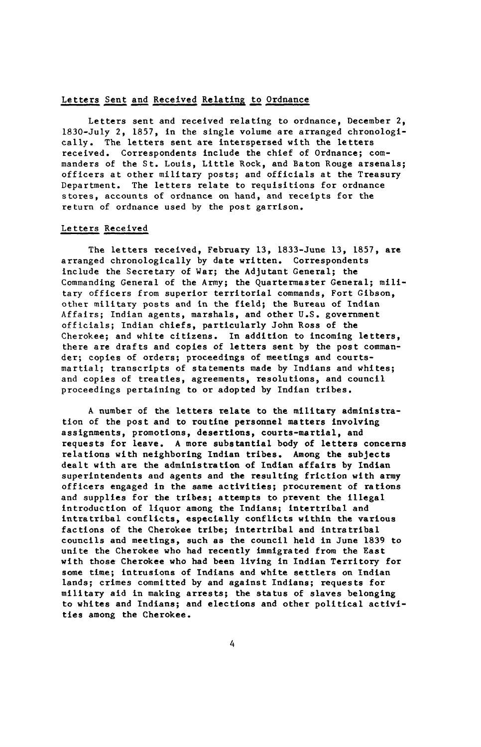#### Letters Sent and Received Relating to Ordnance

Letters sent and received relating to ordnance, December 2, 1830-July 2, 1857, in the single volume are arranged chronologically. The letters sent are interspersed with the letters received. Correspondents include the chief of Ordnance; commanders of the St. Louis, Little Rock, and Baton Rouge arsenals; officers at other military posts; and officials at the Treasury Department. The letters relate to requisitions for ordnance stores, accounts of ordnance on hand, and receipts for the return of ordnance used by the post garrison.

#### Letters Received

The letters received, February 13, 1833-June 13, 1857, are arranged chronologically by date written. Correspondents include the Secretary of War; the Adjutant General; the Commanding General of the Army; the Quartermaster General; military officers from superior territorial commands, Fort Gibson, other military posts and in the field; the Bureau of Indian Affairs; Indian agents, marshals, and other U.S. government officials; Indian chiefs, particularly John Ross of the Cherokee; and white citizens. In addition to incoming letters, there are drafts and copies of letters sent by the post commander; copies of orders; proceedings of meetings and courtsmartial; transcripts of statements made by Indians and whites; and copies of treaties, agreements, resolutions, and council proceedings pertaining to or adopted by Indian tribes.

A number of the letters relate to the military administration of the post and to routine personnel matters involving assignments, promotions, desertions, courts-martial, and requests for leave. A more substantial body of letters concerns relations with neighboring Indian tribes. Among the subjects dealt with are the administration of Indian affairs by Indian superintendents and agents and the resulting friction with army officers engaged in the same activities; procurement of rations and supplies for the tribes; attempts to prevent the illegal introduction of liquor among the Indians; intertribal and intratribal conflicts, especially conflicts within the various factions of the Cherokee tribe; intertribal and intratribal councils and meetings, such as the council held in June 1839 to unite the Cherokee who had recently immigrated from the East with those Cherokee who had been living in Indian Territory for some time; intrusions of Indians and white settlers on Indian lands; crimes committed by and against Indians; requests for military aid in making arrests; the status of slaves belonging to whites and Indians; and elections and other political activities among the Cherokee.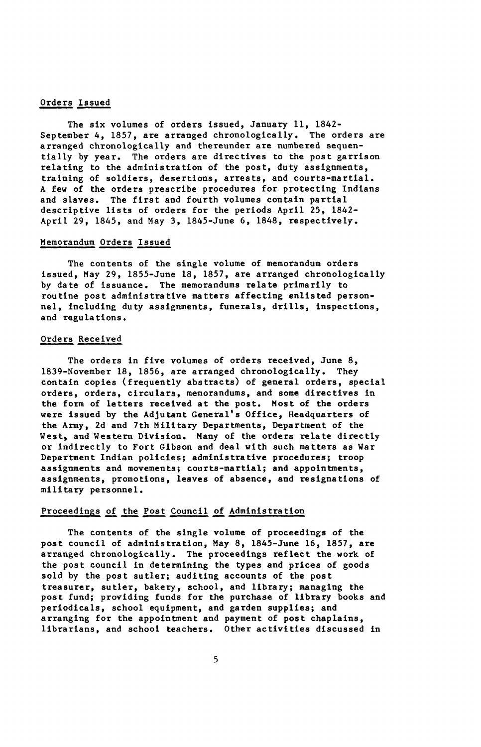#### Orders Issued

The six volumes of orders issued, January 11, 1842- September 4, 1857, are arranged chronologically. The orders are arranged chronologically and thereunder are numbered sequentially by year. The orders are directives to the post garrison relating to the administration of the post, duty assignments, training of soldiers, desertions, arrests, and courts-martial. A few of the orders prescribe procedures for protecting Indians and slaves. The first and fourth volumes contain partial descriptive lists of orders for the periods April 25, 1842- April 29, 1845, and May 3, 1845-June 6, 1848, respectively.

#### Memorandum Orders Issued

The contents of the single volume of memorandum orders issued, May 29, 1855-June 18, 1857, are arranged chronologically by date of issuance. The memorandums relate primarily to routine post administrative matters affecting enlisted personnel, including duty assignments, funerals, drills, inspections, and regulations.

### Orders Received

The orders in five volumes of orders received, June 8, 1839-November 18, 1856, are arranged chronologically. They contain copies (frequently abstracts) of general orders, special orders, orders, circulars, memorandums, and some directives in the form of letters received at the post. Most of the orders were issued by the Adjutant General's Office, Headquarters of the Army, 2d and 7th Military Departments, Department of the Vest, and Western Division. Many of the orders relate directly or indirectly to Fort Gibson and deal with such matters as War Department Indian policies; administrative procedures; troop assignments and movements; courts-martial; and appointments, assignments, promotions, leaves of absence, and resignations of military personnel.

# Proceedings of the Post Council of Administration

The contents of the single volume of proceedings of the post council of administration, May 8, 1845-June 16, 1857, are arranged chronologically. The proceedings reflect the work of the post council in determining the types and prices of goods sold by the post sutler; auditing accounts of the post treasurer, sutler, bakery, school, and library; managing the post fund; providing funds for the purchase of library books and periodicals, school equipment, and garden supplies; and arranging for the appointment and payment of post chaplains, librarians, and school teachers. Other activities discussed in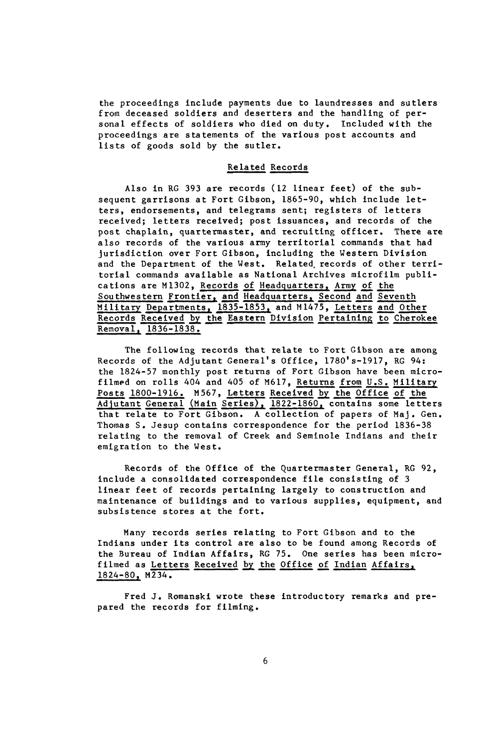the proceedings include payments due to laundresses and sutlers from deceased soldiers and deserters and the handling of personal effects of soldiers who died on duty. Included with the proceedings are statements of the various post accounts and lists of goods sold by the sutler.

#### Related Records

Also in RG 393 are records (12 linear feet) of the subsequent garrisons at Fort Gibson, 1865-90, which include letters, endorsements, and telegrams sent; registers of letters received; letters received; post issuances, and records of the post chaplain, quartermaster, and recruiting officer. There are also records of the various army territorial commands that had jurisdiction over Fort Gibson, including the Western Division and the Department of the West. Related, records of other territorial commands available as National Archives microfilm publications are M1302, Records of Headquarters, Army of the Southwestern Frontier, and Headquarters, Second and Seventh Military Departments, 1835-1853, and M1475, Letters and Other Records Received by the Eastern Division Pertaining to Cherokee Removal, 1836-1838.

The following records that relate to Fort Gibson are among Records of the Adjutant General's Office, 1780's-1917, RG 94: the 1824-57 monthly post returns of Fort Gibson have been microfilmed on rolls 404 and 405 of M617, Returns from U.S. Military Posts 1800-1916. M567. Letters Received by the Office of the Adjutant General (Main Series), 1822-1860, contains some letters that relate to Fort Gibson. A collection of papers of Maj. Gen. Thomas S. Jesup contains correspondence for the period 1836-38 relating to the removal of Creek and Seminole Indians and their emigration to the West.

Records of the Office of the Quartermaster General, RG 92, include a consolidated correspondence file consisting of 3 linear feet of records pertaining largely to construction and maintenance of buildings and to various supplies, equipment, and subsistence stores at the fort.

Many records series relating to Fort Gibson and to the Indians under its control are also to be found among Records of the Bureau of Indian Affairs, RG 75. One series has been microfilmed as Letters Received by the Office of Indian Affairs, 1824-80. M234.

Fred J. Romanski wrote these introductory remarks and prepared the records for filming.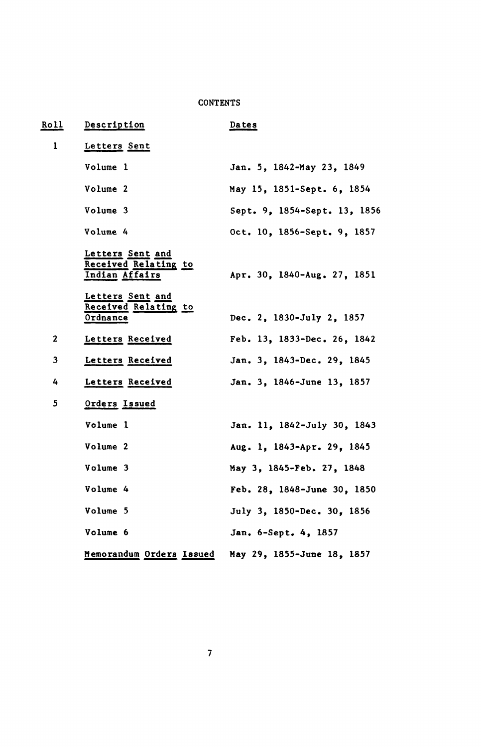## **CONTENTS**

| <b>Roll</b>  | Description                                                | Da te s                      |
|--------------|------------------------------------------------------------|------------------------------|
| $\mathbf{1}$ | Letters Sent                                               |                              |
|              | Volume 1                                                   | Jan. 5, 1842-May 23, 1849    |
|              | Volume 2                                                   | May 15, 1851-Sept. 6, 1854   |
|              | Volume 3                                                   | Sept. 9, 1854-Sept. 13, 1856 |
|              | Volume 4                                                   | Oct. 10, 1856-Sept. 9, 1857  |
|              | Letters Sent and<br>Received Relating to<br>Indian Affairs | Apr. 30, 1840-Aug. 27, 1851  |
|              | Letters Sent and<br>Received Relating to<br>Ordnance       | Dec. 2, 1830-July 2, 1857    |
| $\mathbf{2}$ | Letters Received                                           | Feb. 13, 1833-Dec. 26, 1842  |
| 3            | Letters Received                                           | Jan. 3. 1843-Dec. 29. 1845   |
| 4            | Letters Received                                           | Jan. 3, 1846-June 13, 1857   |
| 5            | Orders Issued                                              |                              |
|              | Volume 1                                                   | Jan. 11, 1842-July 30, 1843  |
|              | Volume 2                                                   | Aug. 1, 1843-Apr. 29, 1845   |
|              | Volume 3                                                   | May 3, 1845-Feb. 27, 1848    |
|              | Volume 4                                                   | Feb. 28, 1848-June 30, 1850  |
|              | Volume 5                                                   | July 3, 1850-Dec. 30, 1856   |
|              | Volume 6                                                   | Jan. 6-Sept. 4, 1857         |
|              | Memorandum Orders Issued                                   | May 29, 1855-June 18, 1857   |